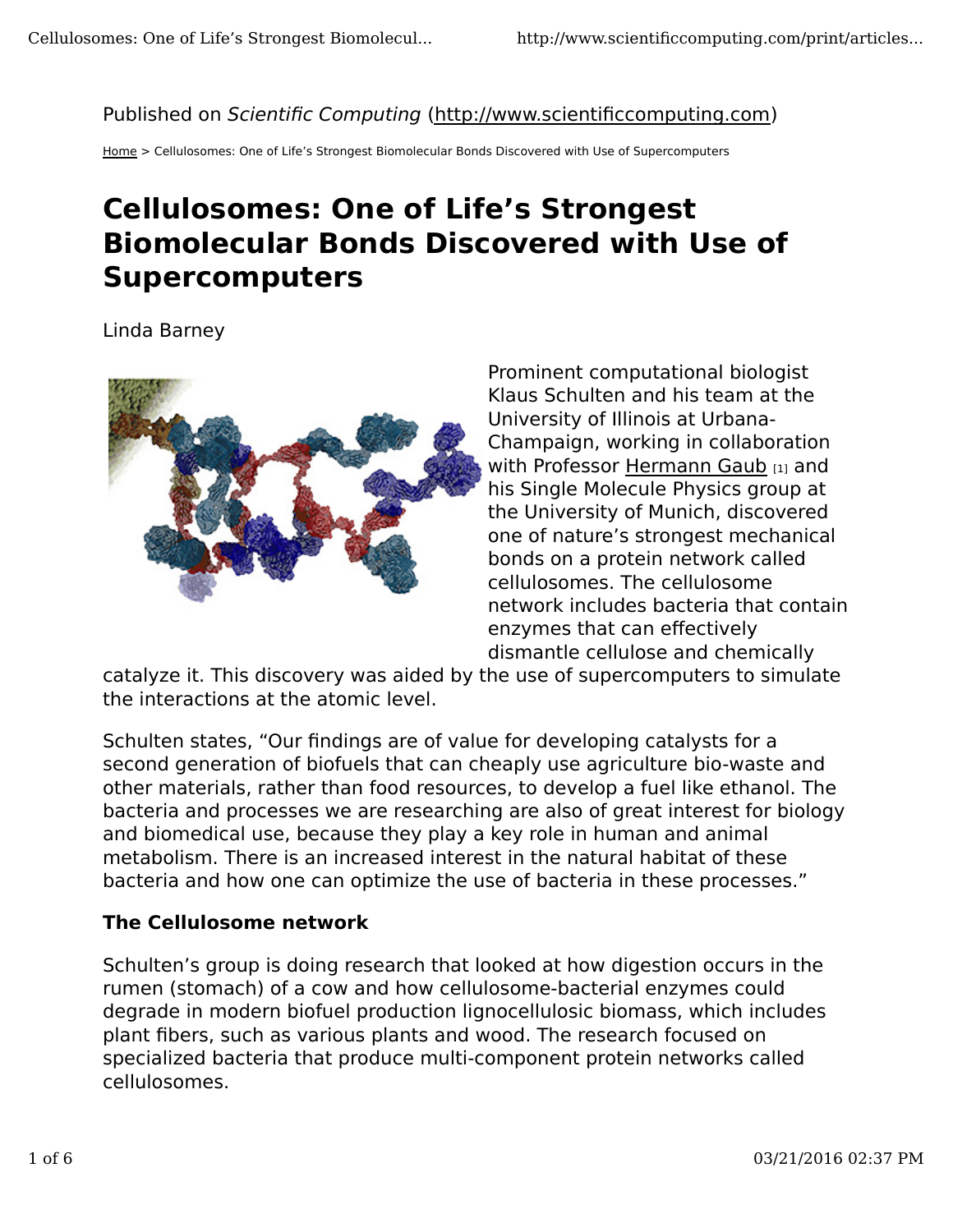### Published on Scientific Computing (http://www.scientificcomputing.com)

Home > Cellulosomes: One of Life's Strongest Biomolecular Bonds Discovered with Use of Supercomputers

# **Cellulosomes: One of Life's Strongest Biomolecular Bonds Discovered with Use of Supercomputers**

Linda Barney



Prominent computational biologist Klaus Schulten and his team at the University of Illinois at Urbana-Champaign, working in collaboration with Professor Hermann Gaub [1] and his Single Molecule Physics group at the University of Munich, discovered one of nature's strongest mechanical bonds on a protein network called cellulosomes. The cellulosome network includes bacteria that contain enzymes that can effectively dismantle cellulose and chemically

catalyze it. This discovery was aided by the use of supercomputers to simulate the interactions at the atomic level.

Schulten states, "Our findings are of value for developing catalysts for a second generation of biofuels that can cheaply use agriculture bio-waste and other materials, rather than food resources, to develop a fuel like ethanol. The bacteria and processes we are researching are also of great interest for biology and biomedical use, because they play a key role in human and animal metabolism. There is an increased interest in the natural habitat of these bacteria and how one can optimize the use of bacteria in these processes."

### **The Cellulosome network**

Schulten's group is doing research that looked at how digestion occurs in the rumen (stomach) of a cow and how cellulosome-bacterial enzymes could degrade in modern biofuel production lignocellulosic biomass, which includes plant fibers, such as various plants and wood. The research focused on specialized bacteria that produce multi-component protein networks called cellulosomes.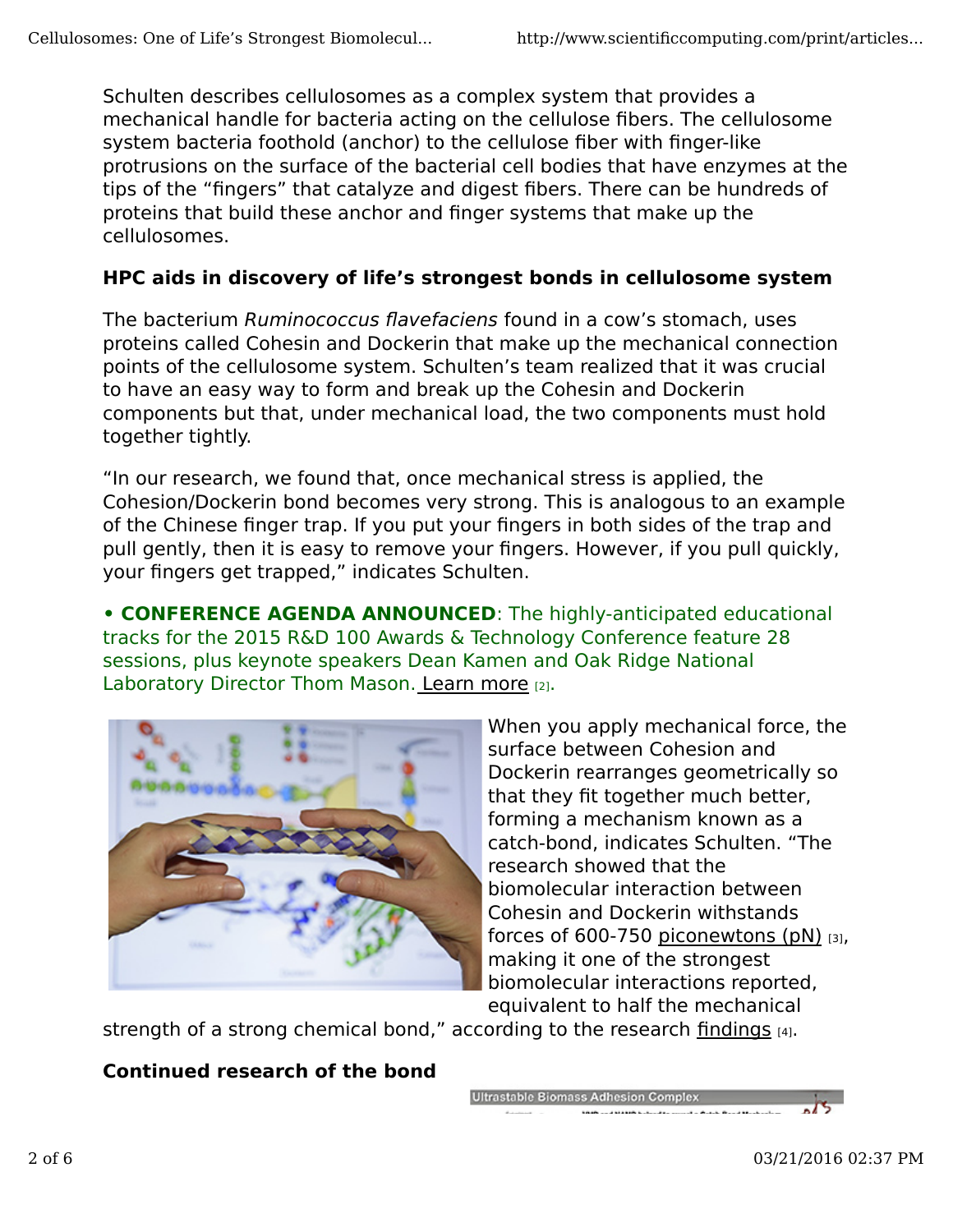Schulten describes cellulosomes as a complex system that provides a mechanical handle for bacteria acting on the cellulose fibers. The cellulosome system bacteria foothold (anchor) to the cellulose fiber with finger-like protrusions on the surface of the bacterial cell bodies that have enzymes at the tips of the "fingers" that catalyze and digest fibers. There can be hundreds of proteins that build these anchor and finger systems that make up the cellulosomes.

### **HPC aids in discovery of life's strongest bonds in cellulosome system**

The bacterium Ruminococcus flavefaciens found in a cow's stomach, uses proteins called Cohesin and Dockerin that make up the mechanical connection points of the cellulosome system. Schulten's team realized that it was crucial to have an easy way to form and break up the Cohesin and Dockerin components but that, under mechanical load, the two components must hold together tightly.

"In our research, we found that, once mechanical stress is applied, the Cohesion/Dockerin bond becomes very strong. This is analogous to an example of the Chinese finger trap. If you put your fingers in both sides of the trap and pull gently, then it is easy to remove your fingers. However, if you pull quickly, your fingers get trapped," indicates Schulten.

**• CONFERENCE AGENDA ANNOUNCED**: The highly-anticipated educational tracks for the 2015 R&D 100 Awards & Technology Conference feature 28 sessions, plus keynote speakers Dean Kamen and Oak Ridge National Laboratory Director Thom Mason. Learn more [2].



When you apply mechanical force, the surface between Cohesion and Dockerin rearranges geometrically so that they fit together much better, forming a mechanism known as a catch-bond, indicates Schulten. "The research showed that the biomolecular interaction between Cohesin and Dockerin withstands forces of 600-750 piconewtons  $(pN)$  [3], making it one of the strongest biomolecular interactions reported, equivalent to half the mechanical

strength of a strong chemical bond," according to the research findings [4].

# **Continued research of the bond**

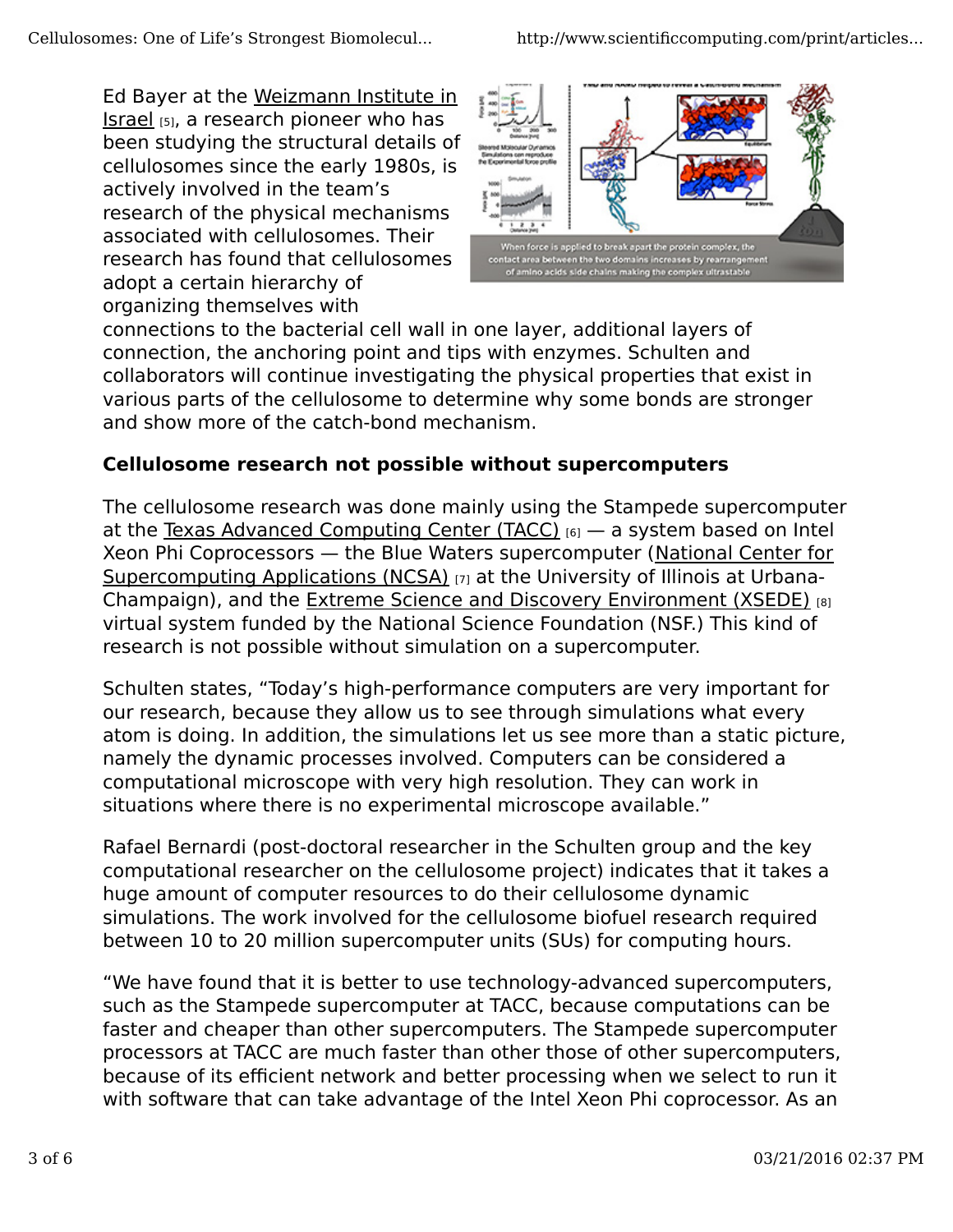Ed Bayer at the Weizmann Institute in Israel [5], a research pioneer who has been studying the structural details of cellulosomes since the early 1980s, is actively involved in the team's research of the physical mechanisms associated with cellulosomes. Their research has found that cellulosomes adopt a certain hierarchy of organizing themselves with



connections to the bacterial cell wall in one layer, additional layers of connection, the anchoring point and tips with enzymes. Schulten and collaborators will continue investigating the physical properties that exist in various parts of the cellulosome to determine why some bonds are stronger and show more of the catch-bond mechanism.

# **Cellulosome research not possible without supercomputers**

The cellulosome research was done mainly using the Stampede supercomputer at the Texas Advanced Computing Center (TACC)  $[6]$  – a system based on Intel Xeon Phi Coprocessors — the Blue Waters supercomputer (National Center for Supercomputing Applications (NCSA) [7] at the University of Illinois at Urbana-Champaign), and the Extreme Science and Discovery Environment (XSEDE) [8] virtual system funded by the National Science Foundation (NSF.) This kind of research is not possible without simulation on a supercomputer.

Schulten states, "Today's high-performance computers are very important for our research, because they allow us to see through simulations what every atom is doing. In addition, the simulations let us see more than a static picture, namely the dynamic processes involved. Computers can be considered a computational microscope with very high resolution. They can work in situations where there is no experimental microscope available."

Rafael Bernardi (post-doctoral researcher in the Schulten group and the key computational researcher on the cellulosome project) indicates that it takes a huge amount of computer resources to do their cellulosome dynamic simulations. The work involved for the cellulosome biofuel research required between 10 to 20 million supercomputer units (SUs) for computing hours.

"We have found that it is better to use technology-advanced supercomputers, such as the Stampede supercomputer at TACC, because computations can be faster and cheaper than other supercomputers. The Stampede supercomputer processors at TACC are much faster than other those of other supercomputers, because of its efficient network and better processing when we select to run it with software that can take advantage of the Intel Xeon Phi coprocessor. As an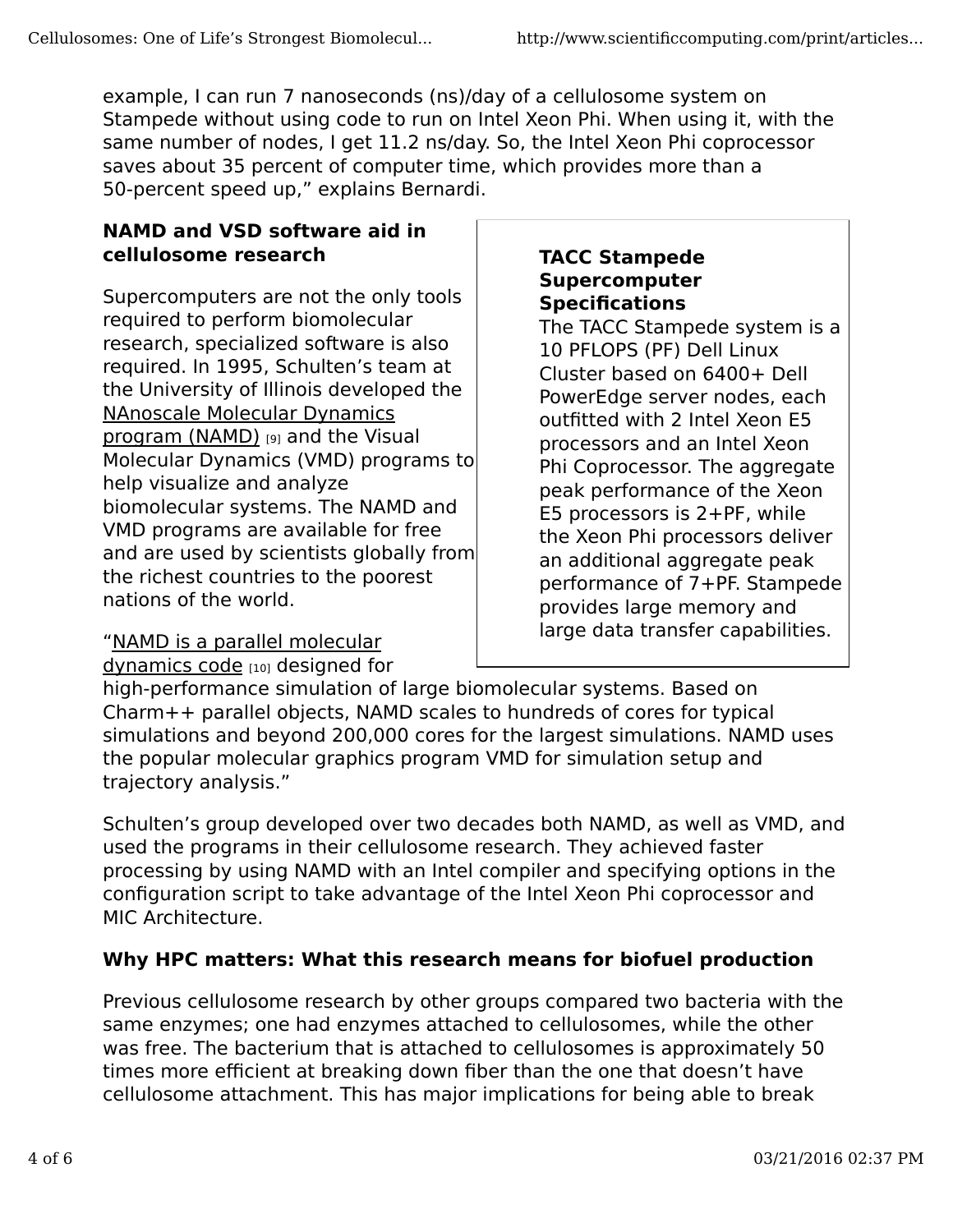example, I can run 7 nanoseconds (ns)/day of a cellulosome system on Stampede without using code to run on Intel Xeon Phi. When using it, with the same number of nodes, I get 11.2 ns/day. So, the Intel Xeon Phi coprocessor saves about 35 percent of computer time, which provides more than a 50-percent speed up," explains Bernardi.

### **NAMD and VSD software aid in cellulosome research**

Supercomputers are not the only tools required to perform biomolecular research, specialized software is also required. In 1995, Schulten's team at the University of Illinois developed the NAnoscale Molecular Dynamics program (NAMD) [9] and the Visual Molecular Dynamics (VMD) programs to help visualize and analyze biomolecular systems. The NAMD and VMD programs are available for free and are used by scientists globally from the richest countries to the poorest nations of the world.

# "NAMD is a parallel molecular

dynamics code [10] designed for

#### **TACC Stampede Supercomputer Specifications**

The TACC Stampede system is a 10 PFLOPS (PF) Dell Linux Cluster based on 6400+ Dell PowerEdge server nodes, each outfitted with 2 Intel Xeon E5 processors and an Intel Xeon Phi Coprocessor. The aggregate peak performance of the Xeon E5 processors is 2+PF, while the Xeon Phi processors deliver an additional aggregate peak performance of 7+PF. Stampede provides large memory and large data transfer capabilities.

high-performance simulation of large biomolecular systems. Based on Charm++ parallel objects, NAMD scales to hundreds of cores for typical simulations and beyond 200,000 cores for the largest simulations. NAMD uses the popular molecular graphics program VMD for simulation setup and trajectory analysis."

Schulten's group developed over two decades both NAMD, as well as VMD, and used the programs in their cellulosome research. They achieved faster processing by using NAMD with an Intel compiler and specifying options in the configuration script to take advantage of the Intel Xeon Phi coprocessor and MIC Architecture.

# **Why HPC matters: What this research means for biofuel production**

Previous cellulosome research by other groups compared two bacteria with the same enzymes; one had enzymes attached to cellulosomes, while the other was free. The bacterium that is attached to cellulosomes is approximately 50 times more efficient at breaking down fiber than the one that doesn't have cellulosome attachment. This has major implications for being able to break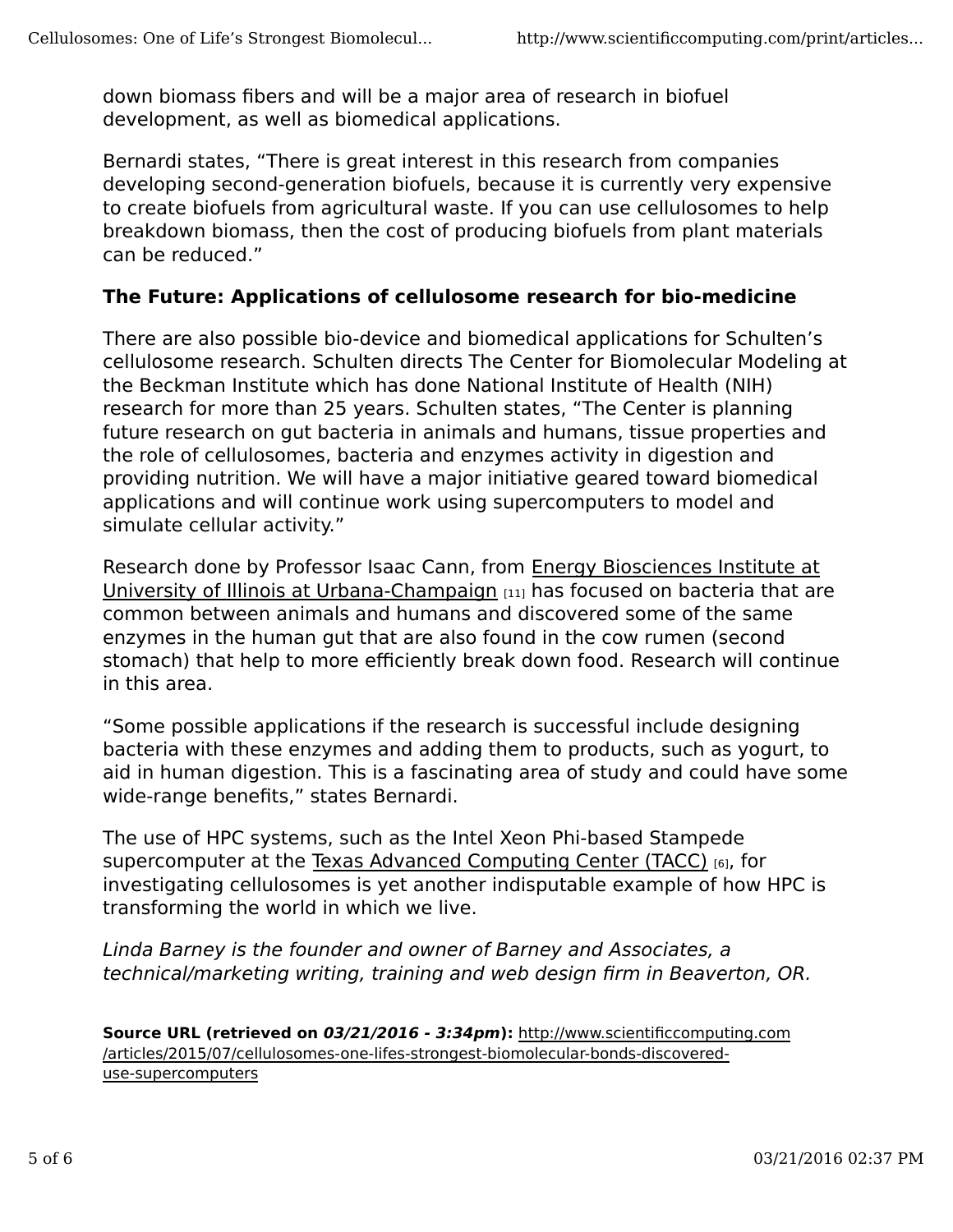down biomass fibers and will be a major area of research in biofuel development, as well as biomedical applications.

Bernardi states, "There is great interest in this research from companies developing second-generation biofuels, because it is currently very expensive to create biofuels from agricultural waste. If you can use cellulosomes to help breakdown biomass, then the cost of producing biofuels from plant materials can be reduced."

#### **The Future: Applications of cellulosome research for bio-medicine**

There are also possible bio-device and biomedical applications for Schulten's cellulosome research. Schulten directs The Center for Biomolecular Modeling at the Beckman Institute which has done National Institute of Health (NIH) research for more than 25 years. Schulten states, "The Center is planning future research on gut bacteria in animals and humans, tissue properties and the role of cellulosomes, bacteria and enzymes activity in digestion and providing nutrition. We will have a major initiative geared toward biomedical applications and will continue work using supercomputers to model and simulate cellular activity."

Research done by Professor Isaac Cann, from Energy Biosciences Institute at University of Illinois at Urbana-Champaign [11] has focused on bacteria that are common between animals and humans and discovered some of the same enzymes in the human gut that are also found in the cow rumen (second stomach) that help to more efficiently break down food. Research will continue in this area.

"Some possible applications if the research is successful include designing bacteria with these enzymes and adding them to products, such as yogurt, to aid in human digestion. This is a fascinating area of study and could have some wide-range benefits," states Bernardi.

The use of HPC systems, such as the Intel Xeon Phi-based Stampede supercomputer at the Texas Advanced Computing Center (TACC) [6], for investigating cellulosomes is yet another indisputable example of how HPC is transforming the world in which we live.

Linda Barney is the founder and owner of Barney and Associates, a technical/marketing writing, training and web design firm in Beaverton, OR.

**Source URL (retrieved on 03/21/2016 - 3:34pm):** http://www.scientificcomputing.com /articles/2015/07/cellulosomes-one-lifes-strongest-biomolecular-bonds-discovereduse-supercomputers